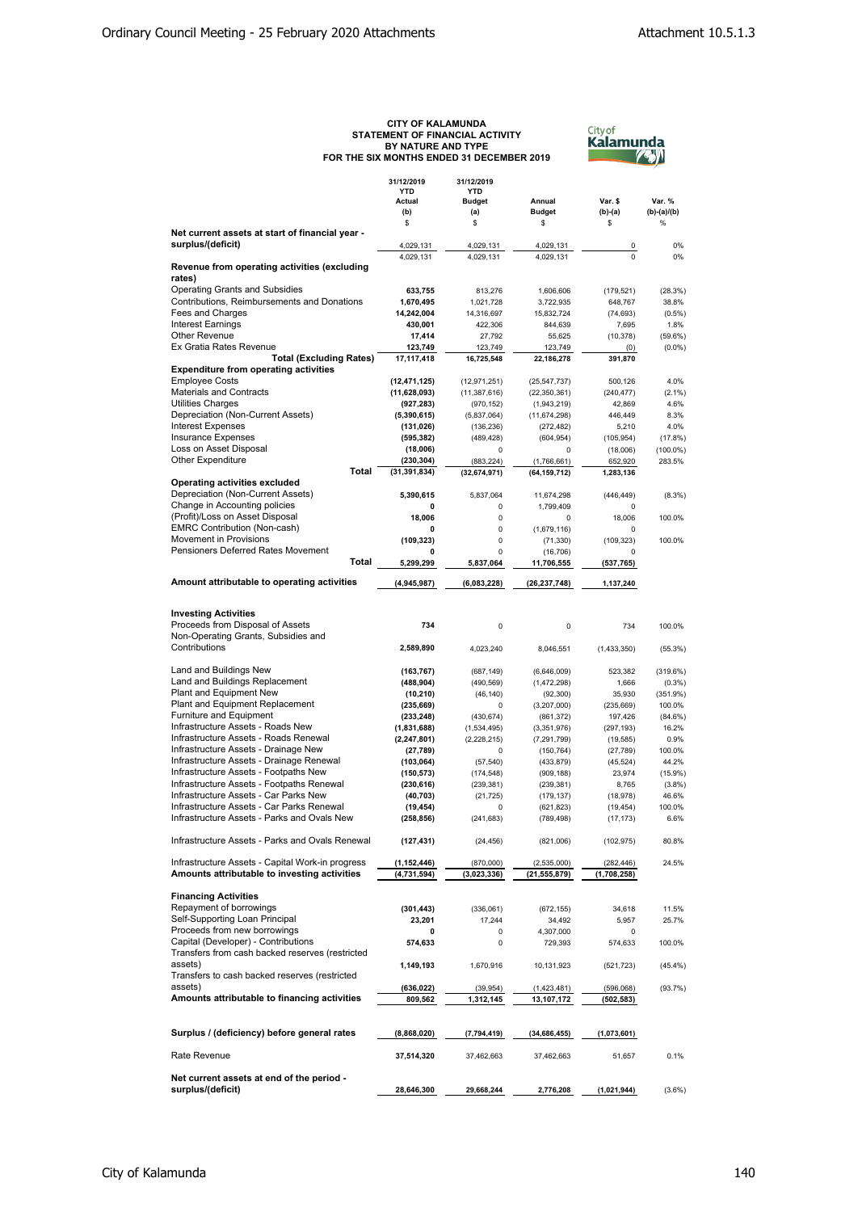## CITY OF KALAMUNDA<br>STATEMENT OF FINANCIAL ACTIVITY<br>BY NATURE AND TYPE<br>FOR THE SIX MONTHS ENDED 31 DECEMBER 2019



|                                                                                                  | 31/12/2019<br><b>YTD</b><br>Actual | 31/12/2019<br><b>YTD</b><br><b>Budget</b> | Annual                        | Var. \$                  | Var. %           |
|--------------------------------------------------------------------------------------------------|------------------------------------|-------------------------------------------|-------------------------------|--------------------------|------------------|
|                                                                                                  | (b)<br>\$                          | (a)<br>\$                                 | <b>Budget</b><br>\$           | $(b)-(a)$<br>\$          | (b)-(a)/(b)<br>% |
| Net current assets at start of financial year -                                                  |                                    |                                           |                               |                          |                  |
| surplus/(deficit)                                                                                | 4,029,131                          | 4,029,131                                 | 4,029,131                     | 0                        | 0%               |
| Revenue from operating activities (excluding                                                     | 4,029,131                          | 4,029,131                                 | 4,029,131                     | $\Omega$                 | 0%               |
| rates)                                                                                           |                                    |                                           |                               |                          |                  |
| <b>Operating Grants and Subsidies</b>                                                            | 633,755                            | 813,276                                   | 1,606,606                     | (179, 521)               | (28.3%)          |
| Contributions, Reimbursements and Donations<br>Fees and Charges                                  | 1,670,495<br>14,242,004            | 1,021,728<br>14,316,697                   | 3,722,935<br>15,832,724       | 648,767<br>(74, 693)     | 38.8%<br>(0.5%   |
| <b>Interest Earnings</b>                                                                         | 430,001                            | 422,306                                   | 844,639                       | 7,695                    | 1.8%             |
| <b>Other Revenue</b>                                                                             | 17,414                             | 27,792                                    | 55,625                        | (10, 378)                | $(59.6\%)$       |
| Ex Gratia Rates Revenue                                                                          | 123,749                            | 123,749                                   | 123,749                       | (0)                      | (0.0%            |
| <b>Total (Excluding Rates)</b>                                                                   | 17,117,418                         | 16,725,548                                | 22,186,278                    | 391,870                  |                  |
| <b>Expenditure from operating activities</b><br><b>Employee Costs</b>                            | (12, 471, 125)                     | (12, 971, 251)                            | (25, 547, 737)                | 500,126                  | 4.0%             |
| <b>Materials and Contracts</b>                                                                   | (11, 628, 093)                     | (11, 387, 616)                            | (22, 350, 361)                | (240, 477)               | (2.1%            |
| <b>Utilities Charges</b>                                                                         | (927, 283)                         | (970, 152)                                | (1,943,219)                   | 42,869                   | 4.6%             |
| Depreciation (Non-Current Assets)                                                                | (5,390,615)                        | (5,837,064)                               | (11, 674, 298)                | 446,449                  | 8.3%             |
| <b>Interest Expenses</b>                                                                         | (131, 026)                         | (136, 236)                                | (272, 482)                    | 5,210                    | 4.0%             |
| <b>Insurance Expenses</b>                                                                        | (595, 382)                         | (489, 428)                                | (604, 954)                    | (105, 954)               | (17.8%           |
| Loss on Asset Disposal                                                                           | (18,006)                           | 0                                         | 0                             | (18,006)                 | $(100.0\%)$      |
| Other Expenditure<br>Total                                                                       | (230, 304)                         | (883, 224)                                | (1,766,661)                   | 652,920                  | 283.5%           |
| Operating activities excluded                                                                    | (31, 391, 834)                     | (32, 674, 971)                            | (64, 159, 712)                | 1,283,136                |                  |
| Depreciation (Non-Current Assets)                                                                | 5,390,615                          | 5,837,064                                 | 11,674,298                    | (446, 449)               | (8.3%)           |
| Change in Accounting policies                                                                    | 0                                  | 0                                         | 1,799,409                     | 0                        |                  |
| (Profit)/Loss on Asset Disposal                                                                  | 18,006                             | 0                                         | 0                             | 18,006                   | 100.0%           |
| <b>EMRC Contribution (Non-cash)</b>                                                              | 0                                  | 0                                         | (1,679,116)                   | 0                        |                  |
| Movement in Provisions                                                                           | (109, 323)                         | 0                                         | (71, 330)                     | (109, 323)               | 100.0%           |
| <b>Pensioners Deferred Rates Movement</b>                                                        | 0                                  | 0                                         | (16, 706)                     | $\mathbf 0$              |                  |
| Total                                                                                            | 5,299,299                          | 5,837,064                                 | 11,706,555                    | (537, 765)               |                  |
| Amount attributable to operating activities                                                      | (4,945,987)                        | (6,083,228)                               | (26, 237, 748)                | 1,137,240                |                  |
|                                                                                                  |                                    |                                           |                               |                          |                  |
| <b>Investing Activities</b>                                                                      |                                    |                                           |                               |                          |                  |
| Proceeds from Disposal of Assets                                                                 | 734                                | 0                                         | 0                             | 734                      | 100.0%           |
| Non-Operating Grants, Subsidies and<br>Contributions                                             | 2,589,890                          | 4,023,240                                 | 8,046,551                     | (1,433,350)              | (55.3%)          |
|                                                                                                  |                                    |                                           |                               |                          |                  |
| Land and Buildings New                                                                           | (163, 767)                         | (687, 149)                                | (6,646,009)                   | 523,382                  | $(319.6\%)$      |
| Land and Buildings Replacement<br>Plant and Equipment New                                        | (488, 904)<br>(10, 210)            | (490, 569)<br>(46, 140)                   | (1,472,298)<br>(92, 300)      | 1,666<br>35,930          | (0.3%<br>(351.9% |
| Plant and Equipment Replacement                                                                  | (235, 669)                         | 0                                         | (3,207,000)                   | (235, 669)               | 100.0%           |
| Furniture and Equipment                                                                          | (233, 248)                         | (430, 674)                                | (861, 372)                    | 197,426                  | $(84.6\%)$       |
| Infrastructure Assets - Roads New                                                                | (1,831,688)                        | (1,534,495)                               | (3,351,976)                   | (297, 193)               | 16.2%            |
| Infrastructure Assets - Roads Renewal                                                            | (2, 247, 801)                      | (2,228,215)                               | (7, 291, 799)                 | (19, 585)                | 0.9%             |
| Infrastructure Assets - Drainage New                                                             | (27, 789)                          | 0                                         | (150, 764)                    | (27, 789)                | 100.0%           |
| Infrastructure Assets - Drainage Renewal                                                         | (103, 064)                         | (57, 540)                                 | (433, 879)                    | (45, 524)                | 44.2%            |
| Infrastructure Assets - Footpaths New                                                            | (150, 573)                         | (174, 548)                                | (909, 188)                    | 23,974                   | $(15.9\%)$       |
| Infrastructure Assets - Footpaths Renewal<br>Infrastructure Assets - Car Parks New               | (230, 616)                         | (239, 381)                                | (239, 381)                    | 8,765                    | (3.8%)           |
| Infrastructure Assets - Car Parks Renewal                                                        | (40, 703)<br>(19, 454)             | (21, 725)<br>0                            | (179, 137)                    | (18, 978)<br>(19, 454)   | 46.6%<br>100.0%  |
| Infrastructure Assets - Parks and Ovals New                                                      | (258, 856)                         | (241, 683)                                | (621, 823)<br>(789, 498)      | (17, 173)                | 6.6%             |
| Infrastructure Assets - Parks and Ovals Renewal                                                  |                                    |                                           |                               |                          |                  |
|                                                                                                  | (127, 431)                         | (24, 456)                                 | (821,006)                     | (102, 975)               | 80.8%            |
| Infrastructure Assets - Capital Work-in progress<br>Amounts attributable to investing activities | (1,152,446)<br>(4,731,594)         | (870,000)<br>(3,023,336)                  | (2,535,000)<br>(21, 555, 879) | (282,446)<br>(1,708,258) | 24.5%            |
|                                                                                                  |                                    |                                           |                               |                          |                  |
| <b>Financing Activities</b>                                                                      |                                    |                                           |                               |                          |                  |
| Repayment of borrowings                                                                          | (301, 443)                         | (336,061)                                 | (672, 155)                    | 34,618                   | 11.5%            |
| Self-Supporting Loan Principal<br>Proceeds from new borrowings                                   | 23,201                             | 17,244                                    | 34,492                        | 5,957                    | 25.7%            |
| Capital (Developer) - Contributions                                                              | 0<br>574,633                       | 0<br>0                                    | 4,307,000<br>729,393          | 0<br>574,633             | 100.0%           |
| Transfers from cash backed reserves (restricted                                                  |                                    |                                           |                               |                          |                  |
| assets)                                                                                          | 1,149,193                          | 1,670,916                                 | 10,131,923                    | (521, 723)               | (45.4%           |
| Transfers to cash backed reserves (restricted                                                    |                                    |                                           |                               |                          |                  |
| assets)                                                                                          | (636, 022)                         | (39, 954)                                 | (1,423,481)                   | (596,068)                | (93.7%           |
| Amounts attributable to financing activities                                                     | 809,562                            | 1,312,145                                 | 13,107,172                    | (502,583)                |                  |
|                                                                                                  |                                    |                                           |                               |                          |                  |
| Surplus / (deficiency) before general rates                                                      | (8,868,020)                        | (7,794,419)                               | (34, 686, 455)                | (1,073,601)              |                  |
| Rate Revenue                                                                                     | 37,514,320                         | 37,462,663                                | 37,462,663                    | 51,657                   | 0.1%             |
|                                                                                                  |                                    |                                           |                               |                          |                  |
| Net current assets at end of the period -<br>surplus/(deficit)                                   | 28,646,300                         | 29,668,244                                | 2,776,208                     | (1,021,944)              | (3.6%)           |
|                                                                                                  |                                    |                                           |                               |                          |                  |